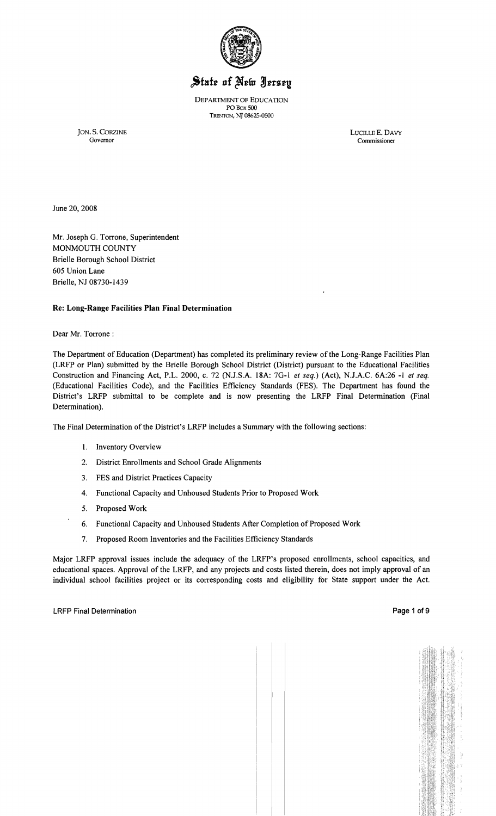

# State of New Jersey

DEPARTMENT OF EDUCATION POBox soo TRENTON, NJ 08625-0500

JON. S. CORZINE LUCILLE E. DAVY Commissioner

June 20, 2008

Mr. Joseph G. Torrone, Superintendent MONMOUTH COUNTY Brielle Borough School District 605 Union Lane Brielle, NJ 08730-1439

# Re: Long-Range Facilities Plan Final Determination

Dear Mr. Torrone :

The Department of Education (Department) has completed its preliminary review of the Long-Range Facilities Plan (LRFP or Plan) submitted by the Brielle Borough School District (District) pursuant to the Educational Facilities Construction and Financing Act, P.L. 2000, c. 72 (NJ.S.A. 18A: 7G-1 *et seq.)* (Act), N.lA.C. 6A:26 -1 *et seq.*  (Educational Facilities Code), and the Facilities Efficiency Standards (FES). The Department has found the District's LRFP submittal to be complete and is now presenting the LRFP Final Determination (Final Determination).

The Final Determination of the District's LRFP includes a Summary with the following sections:

- 1. Inventory Overview
- 2. District Enrollments and School Grade Alignments
- 3. FES and District Practices Capacity
- 4. Functional Capacity and Unhoused Students Prior to Proposed Work
- 5. Proposed Work
- 6. Functional Capacity and Unhoused Students After Completion of Proposed Work
- 7. Proposed Room Inventories and the Facilities Efficiency Standards

Major LRFP approval issues include the adequacy of the LRFP's proposed enrollments, school capacities, and educational spaces. Approval of the LRFP, and any projects and costs listed therein, does not imply approval of an individual school facilities project or its corresponding costs and eligibility for State support under the Act.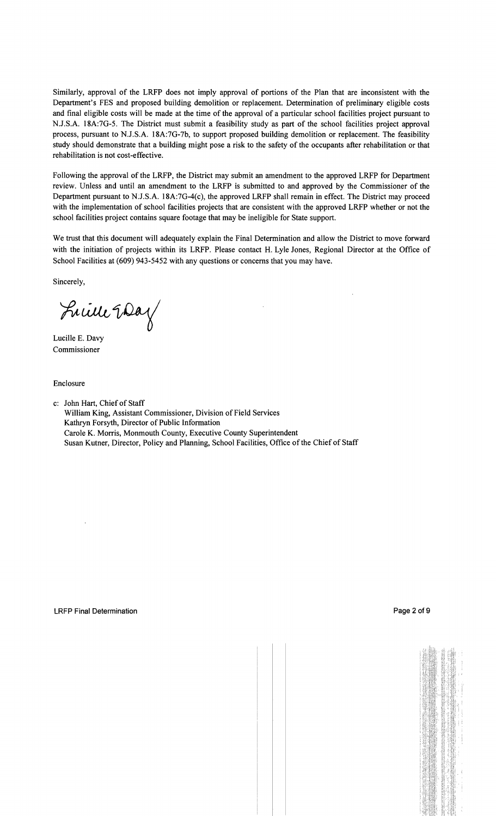Similarly, approval of the LRFP does not imply approval of portions of the Plan that are inconsistent with the Department's FES and proposed building demolition or replacement. Determination of preliminary eligible costs and final eligible costs will be made at the time of the approval of a particular school facilities project pursuant to NJ.S.A. 18A:7G-5. The District must submit a feasibility study as part of the school facilities project approval process, pursuant to N.J.S.A. 18A:7G-7b, to support proposed building demolition or replacement. The feasibility study should demonstrate that a building might pose a risk to the safety of the occupants after rehabilitation or that rehabilitation is not cost-effective.

Following the approval of the LRFP, the District may submit an amendment to the approved LRFP for Department review. Unless and until an amendment to the LRFP is submitted to and approved by the Commissioner of the Department pursuant to N:J.S.A. 18A:7G-4(c), the approved LRFP shall remain in effect. The District may proceed with the implementation of school facilities projects that are consistent with the approved LRFP whether or not the school facilities project contains square footage that may be ineligible for State support.

We trust that this document will adequately explain the Final Determination and allow the District to move forward with the initiation of projects within its LRFP. Please contact H. Lyle Jones, Regional Director at the Office of School Facilities at (609) 943-5452 with any questions or concerns that you may have.

Sincerely,

Luille Eday

Lucille E. Davy Commissioner

Enclosure

c: John Hart, Chief of Staff William King, Assistant Commissioner, Division of Field Services Kathryn Forsyth, Director of Public Information Carole K. Morris, Monmouth County, Executive County Superintendent Susan Kutner, Director, Policy and Planning, School Facilities, Office of the Chief of Staff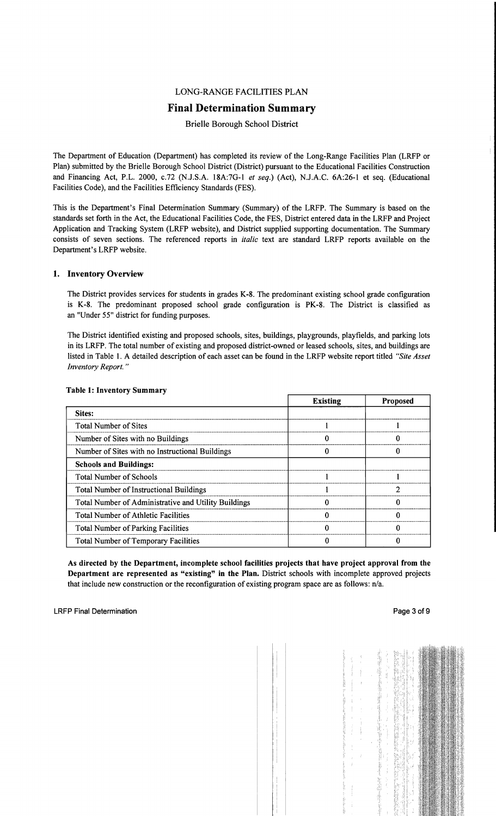# LONG-RANGE FACILITIES PLAN

# Final Determination Summary

#### Brielle Borough School District

The Department of Education (Department) has completed its review of the Long-Range Facilities Plan (LRFP or Plan) submitted by the Brielle Borough School District (District) pursuant to the Educational Facilities Construction and Financing Act, P.L. 2000, c.72 (NJ.S.A. 18A:7G-l *et seq.)* (Act), NJ.A.C. 6A:26-1 et seq. (Educational Facilities Code), and the Facilities Efficiency Standards (FES).

This is the Department's Final Determination Summary (Summary) of the LRFP. The Summary is based on the standards set forth in the Act, the Educational Facilities Code, the FES, District entered data in the LRFP and Project Application and Tracking System (LRFP website), and District supplied supporting documentation. The Summary consists of seven sections. The referenced reports in *italic* text are standard LRFP reports available on the Department's LRFP website.

#### 1. Inventory Overview

The District provides services for students in grades K-8. The predominant existing school grade configuration is K-8. The predominant proposed school grade configuration is PK-8. The District is classified as an "Under 55" district for funding purposes.

The District identified existing and proposed schools, sites, buildings, playgrounds, playfields, and parking lots in its LRFP. The total number of existing and proposed district-owned or leased schools, sites, and buildings are listed in Table 1. A detailed description of each asset can be found in the LRFP website report titled *"Site Asset Inventory Report. "* 

|                                                      | <b>Existing</b> | <b>Proposed</b> |
|------------------------------------------------------|-----------------|-----------------|
| Sites:                                               |                 |                 |
| <b>Total Number of Sites</b>                         |                 |                 |
| Number of Sites with no Buildings                    |                 |                 |
| Number of Sites with no Instructional Buildings      |                 |                 |
| <b>Schools and Buildings:</b>                        |                 |                 |
| <b>Total Number of Schools</b>                       |                 |                 |
| <b>Total Number of Instructional Buildings</b>       |                 |                 |
| Total Number of Administrative and Utility Buildings |                 |                 |
| <b>Total Number of Athletic Facilities</b>           |                 |                 |
| <b>Total Number of Parking Facilities</b>            |                 |                 |
| Total Number of Temporary Facilities                 |                 |                 |

#### Table 1: Inventory Summary

As directed by the Department, incomplete school facilities projects that have project approval from the Department are represented as "existing" in the Plan. District schools with incomplete approved projects that include new construction or the reconfiguration of existing program space are as follows: n/a.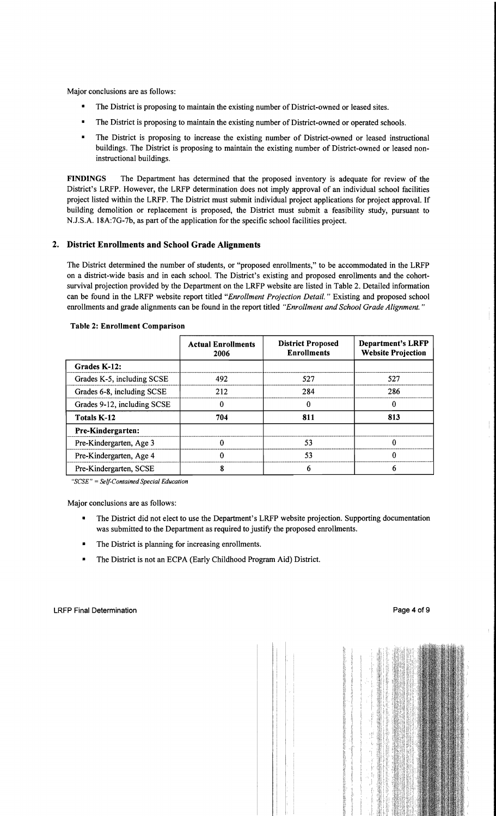Major conclusions are as follows:

- The District is proposing to maintain the existing number of District-owned or leased sites.
- The District is proposing to maintain the existing number of District-owned or operated schools.
- The District is proposing to increase the existing number of District-owned or leased instructional buildings. The District is proposing to maintain the existing number of District-owned or leased noninstructional buildings.

FINDINGS The Department has determined that the proposed inventory is adequate for review of the District's LRFP. However, the LRFP determination does not imply approval of an individual school facilities project listed within the LRFP. The District must submit individual project applications for project approval. If building demolition or replacement is proposed, the District must submit a feasibility study, pursuant to N.J.S.A. 18A:7G-7b, as part of the application for the specific school facilities project.

# 2. District Enrollments and School Grade Alignments

The District determined the number of students, or "proposed enrollments," to be accommodated in the LRFP on a district-wide basis and in each school. The District's existing and proposed enrollments and the cohortsurvival projection provided by the Department on the LRFP website are listed in Table 2. Detailed information can be found in the LRFP website report titled *"Enrollment Projection Detail.* " Existing and proposed school enrollments and grade alignments can be found in the report titled *"Enrollment and School Grade Alignment. "* 

|                             | <b>Actual Enrollments</b><br>2006 | <b>District Proposed</b><br><b>Enrollments</b> | <b>Department's LRFP</b><br><b>Website Projection</b> |
|-----------------------------|-----------------------------------|------------------------------------------------|-------------------------------------------------------|
| Grades K-12:                |                                   |                                                |                                                       |
| Grades K-5, including SCSE  | 492                               | 527                                            | 527                                                   |
| Grades 6-8, including SCSE  | 212                               | 284                                            | 286                                                   |
| Grades 9-12, including SCSE |                                   | 0                                              | 0                                                     |
| <b>Totals K-12</b>          | 704                               | 811                                            | 813                                                   |
| Pre-Kindergarten:           |                                   |                                                |                                                       |
| Pre-Kindergarten, Age 3     |                                   | 53                                             |                                                       |
| Pre-Kindergarten, Age 4     |                                   | 53                                             |                                                       |
| Pre-Kindergarten, SCSE      |                                   | 6                                              | 6                                                     |

#### Table 2: Enrollment Comparison

*"SCSE"* = *Self-Contained Special Education* 

Major conclusions are as follows:

- The District did not elect to use the Department's LRFP website projection. Supporting documentation was submitted to the Department as required to justify the proposed enrollments.
- The District is planning for increasing enrollments.
- The District is not an ECPA (Early Childhood Program Aid) District.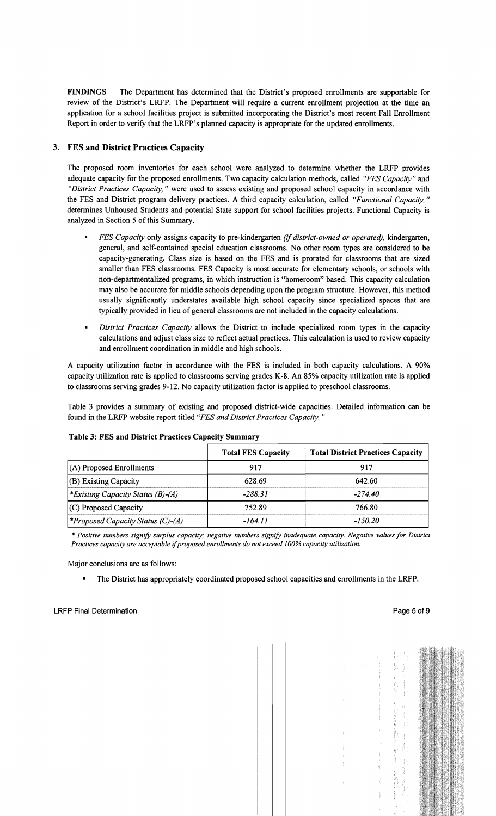FINDINGS The Department has determined that the District's proposed enrollments are supportable for review of the District's LRFP. The Department will require a current enrollment projection at the time an application for a school facilities project is submitted incorporating the District's most recent Fall Enrollment Report in order to verify that the LRFP's planned capacity is appropriate for the updated enrollments.

# 3. FES and District Practices Capacity

The proposed room inventories for each school were analyzed to determine whether the LRFP provides adequate capacity for the proposed enrollments. Two capacity calculation methods, called *"FES Capacity"* and *"District Practices Capacity,* " were used to assess existing and proposed school capacity in accordance with the FES and District program delivery practices. A third capacity calculation, called *"Functional Capacity, "*  determines Unhoused Students and potential State support for school facilities projects. Functional Capacity is analyzed in Section 5 of this Summary.

- *FES Capacity* only assigns capacity to pre-kindergarten *(if district-owned or operated),* kindergarten, general, and self-contained special education classrooms. No other room types are considered to be capacity-generating. Class size is based on the FES and is prorated for classrooms that are sized smaller than FES classrooms. FES Capacity is most accurate for elementary schools, or schools with non-departmentalized programs, in which instruction is "homeroom" based. This capacity calculation may also be accurate for middle schools depending upon the program structure. However, this method usually significantly understates available high school capacity since specialized spaces that are typically provided in lieu of general classrooms are not included in the capacity calculations.
- *District Practices Capacity allows the District to include specialized room types in the capacity* calculations and adjust class size to reflect actual practices. This calculation is used to review capacity and enrollment coordination in middle and high schools.

A capacity utilization factor in accordance with the FES is included in both capacity calculations. A 90% capacity utilization rate is applied to classrooms serving grades K-8. An 85% capacity utilization rate is applied to classrooms serving grades 9-12. No capacity utilization factor is applied to preschool classrooms.

Table 3 provides a summary of existing and proposed district-wide capacities. Detailed information can be found in the LRFP website report titled *"FES and District Practices Capacity. "* 

|                                         | <b>Total FES Capacity</b> | <b>Total District Practices Capacity</b> |
|-----------------------------------------|---------------------------|------------------------------------------|
| $(A)$ Proposed Enrollments              | 917                       | 917                                      |
| $ $ (B) Existing Capacity               | 628.69                    | 642.60                                   |
| <i>Existing Capacity Status (B)-(A)</i> | $-288.31$                 | -274 40                                  |
| (C) Proposed Capacity                   | 752.89                    | 766.80                                   |
| <i>Froposed Capacity Status (C)-(A)</i> | $-164.11$                 | $-150.20$                                |

#### Table 3: FES and District Practices Capacity Summary

\* *Positive numbers signify surplus capacity; negative numbers signify inadequate capacity. Negative values for District Practices capacity are acceptable ifproposed enrollments do not exceed 100% capacity utilization.* 

Major conclusions are as follows:

• The District has appropriately coordinated proposed school capacities and enrollments in the LRFP.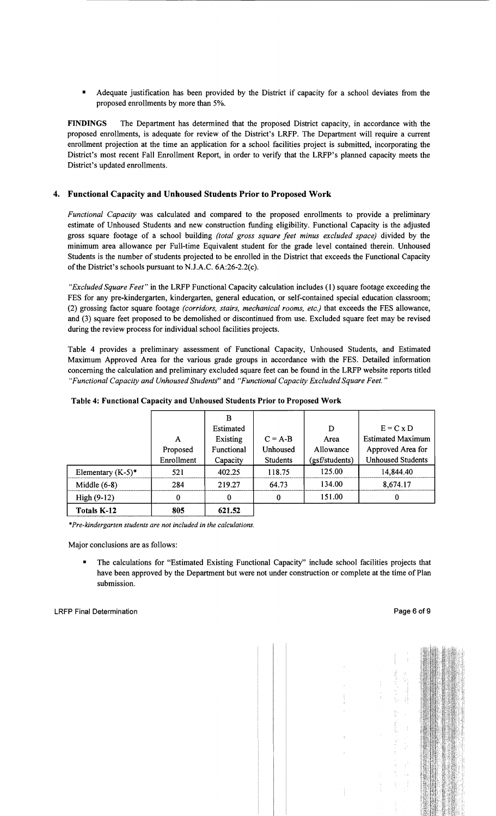Adequate justification has been provided by the District if capacity for a school deviates from the proposed enrollments by more than 5%.

FINDINGS The Department has determined that the proposed District capacity, in accordance with the proposed enrollments, is adequate for review of the District's LRFP. The Department will require a current enrollment projection at the time an application for a school facilities project is submitted, incorporating the District's most recent Fall Enrollment Report, in order to verify that the LRFP's planned capacity meets the District's updated enrollments.

# 4. Functional Capacity and Unhoused Students Prior to Proposed Work

*Functional Capacity* was calculated and compared to the proposed enrollments to provide a preliminary estimate of Unhoused Students and new construction funding eligibility. Functional Capacity is the adjusted gross square footage of a school building *(total gross square feet minus excluded space)* divided by the minimum area allowance per Full-time Equivalent student for the grade level contained therein. Unhoused Students is the number of students projected to be enrolled in the District that exceeds the Functional Capacity of the District's schools pursuant to N.J.A.C.  $6A:26-2.2(c)$ .

*"Excluded Square Feet"* in the LRFP Functional Capacity calculation includes (1) square footage exceeding the FES for any pre-kindergarten, kindergarten, general education, or self-contained special education classroom; (2) grossing factor square footage *(corridors, stairs, mechanical rooms, etc.)* that exceeds the FES allowance, and (3) square feet proposed to be demolished or discontinued from use. Excluded square feet may be revised during the review process for individual school facilities projects.

Table 4 provides a preliminary assessment of Functional Capacity, Unhoused Students, and Estimated Maximum Approved Area for the various grade groups in accordance with the FES. Detailed information concerning the calculation and preliminary excluded square feet can be found in the LRFP website reports titled *"Functional Capacity and Unhoused Students"* and *"Functional Capacity Excluded Square Feet."* 

|                      |            | B          |                 |                |                          |
|----------------------|------------|------------|-----------------|----------------|--------------------------|
|                      |            | Estimated  |                 | D              | $E = C x D$              |
|                      | A          | Existing   | $C = A-B$       | Area           | <b>Estimated Maximum</b> |
|                      | Proposed   | Functional | Unhoused        | Allowance      | Approved Area for        |
|                      | Enrollment | Capacity   | <b>Students</b> | (gsf/students) | <b>Unhoused Students</b> |
| Elementary $(K-5)^*$ | 521        | 402.25     | 118.75          | 125.00         | 14,844.40                |
| Middle $(6-8)$       | 284        | 219.27     | 64.73           | 134.00         | 8,674.17                 |
| High $(9-12)$        | 0          | 0          | 0               | 151.00         | 0                        |
| Totals K-12          | 805        | 621.52     |                 |                |                          |

#### Table 4: Functional Capacity and Unhoused Students Prior to Proposed Work

\**Pre-kindergarten students are not included in the calculations.* 

Major conclusions are as follows:

• The calculations for "Estimated Existing Functional Capacity" include school facilities projects that have been approved by the Department but were not under construction or complete at the time of Plan submission.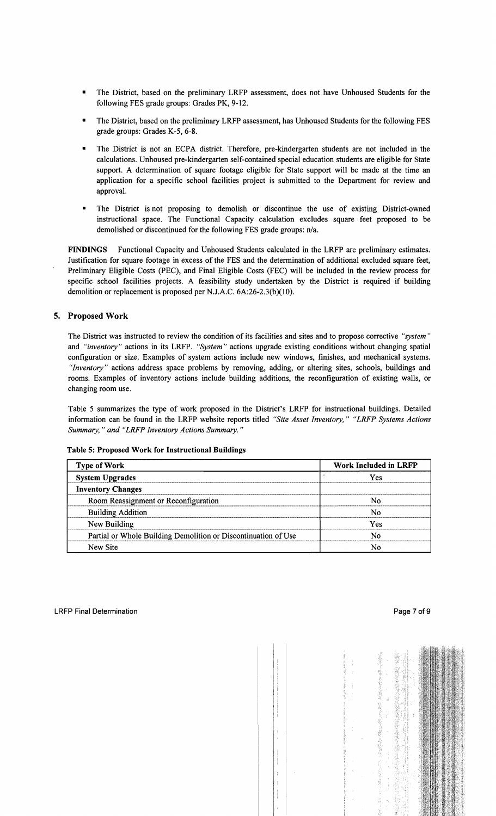- The District, based on the preliminary LRFP assessment, does not have Unhoused Students for the following FES grade groups: Grades PK, 9-12.
- The District, based on the preliminary LRFP assessment, has Unhoused Students for the following FES grade groups: Grades K-5, 6-8.
- The District is not an ECPA district. Therefore, pre-kindergarten students are not included in the calculations. Unhoused pre-kindergarten self-contained special education students are eligible for State support. A determination of square footage eligible for State support will be made at the time an application for a specific school facilities project is submitted to the Department for review and approval.
- The District is not proposing to demolish or discontinue the use of existing District-owned instructional space. The Functional Capacity calculation excludes square feet proposed to be demolished or discontinued for the following FES grade groups: n/a.

FINDINGS Functional Capacity and Unhoused Students calculated in the LRFP are preliminary estimates. Justification for square footage in excess of the FES and the determination of additional excluded square feet, Preliminary Eligible Costs (PEC), and Final Eligible Costs (FEC) will be included in the review process for specific school facilities projects. A feasibility study undertaken by the District is required if building demolition or replacement is proposed per N.J.A.C. 6A:26-2.3(b)(10).

# 5. Proposed Work

The District was instructed to review the condition of its facilities and sites and to propose corrective *"system"*  and *"inventory"* actions in its LRFP. *"System"* actions upgrade existing conditions without changing spatial configuration or size. Examples of system actions include new windows, finishes, and mechanical systems. *"Inventory"* actions address space problems by removing, adding, or altering sites, schools, buildings and rooms. Examples of inventory actions include building additions, the reconfiguration of existing walls, or changing room use.

Table 5 summarizes the type of work proposed in the District's LRFP for instructional buildings. Detailed information can be found in the LRFP website reports titled *"Site Asset Inventory," "LRFP Systems Actions Summary,* .. *and "LRFP Inventory Actions Summary.* ..

|  |  |  |  | Table 5: Proposed Work for Instructional Buildings |  |
|--|--|--|--|----------------------------------------------------|--|
|--|--|--|--|----------------------------------------------------|--|

| <b>Type of Work</b>                                            | <b>Work Included in LRFP</b> |
|----------------------------------------------------------------|------------------------------|
| <b>System Upgrades</b>                                         | Yes                          |
| <b>Inventory Changes</b>                                       |                              |
| Room Reassignment or Reconfiguration                           |                              |
| <b>Building Addition</b>                                       | N٥                           |
| New Building                                                   | Yes                          |
| Partial or Whole Building Demolition or Discontinuation of Use | Ν٥                           |
| New Site                                                       |                              |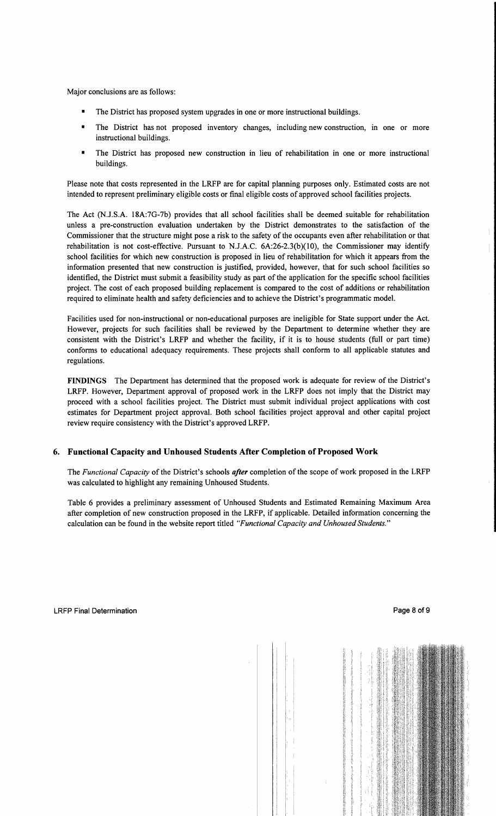Major conclusions are as follows:

- The District has proposed system upgrades in one or more instructional buildings.
- The District has not proposed inventory changes, including new construction, in one or more instructional buildings.
- The District has proposed new construction in lieu of rehabilitation in one or more instructional buildings.

Please note that costs represented in the LRFP are for capital planning purposes only. Estimated costs are not intended to represent preliminary eligible costs or fmal eligible costs of approved school facilities projects.

The Act (N.l.S.A. 18A:7G-7b) provides that all school facilities shall be deemed suitable for rehabilitation unless a pre-construction evaluation undertaken by the District demonstrates to the satisfaction of the Commissioner that the structure might pose a risk to the safety of the occupants even after rehabilitation or that rehabilitation is not cost-effective. Pursuant to N.J.A.C. 6A:26-2.3(b)(10), the Commissioner may identify school facilities for which new construction is proposed in lieu of rehabilitation for which it appears from the information presented that new construction is justified, provided, however, that for such school facilities so identified, the District must submit a feasibility study as part of the application for the specific school facilities project. The cost of each proposed building replacement is compared to the cost of additions or rehabilitation required to eliminate health and safety deficiencies and to achieve the District's programmatic model.

Facilities used for non-instructional or non-educational purposes are ineligible for State support under the Act. However, projects for such facilities shall be reviewed by the Department to determine whether they are consistent with the District's LRFP and whether the facility, if it is to house students (full or part time) conforms to educational adequacy requirements. These projects shall conform to all applicable statutes and regulations.

FINDINGS The Department has determined that the proposed work is adequate for review of the District's LRFP. However, Department approval of proposed work in the LRFP does not imply that the District may proceed with a school facilities project. The District must submit individual project applications with cost estimates for Department project approval. Both school facilities project approval and other capital project review require consistency with the District's approved LRFP.

# 6. Functional Capacity and Unhoused Students After Completion of Proposed Work

The *Functional Capacity* of the District's schools *after* completion of the scope of work proposed in the LRFP was calculated to highlight any remaining Unhoused Students.

Table 6 provides a preliminary assessment of Unhoused Students and Estimated Remaining Maximum Area after completion of new construction proposed in the LRFP, if applicable. Detailed information concerning the calculation can be found in the website report titled *"Functional Capacity and Unhoused Students."*